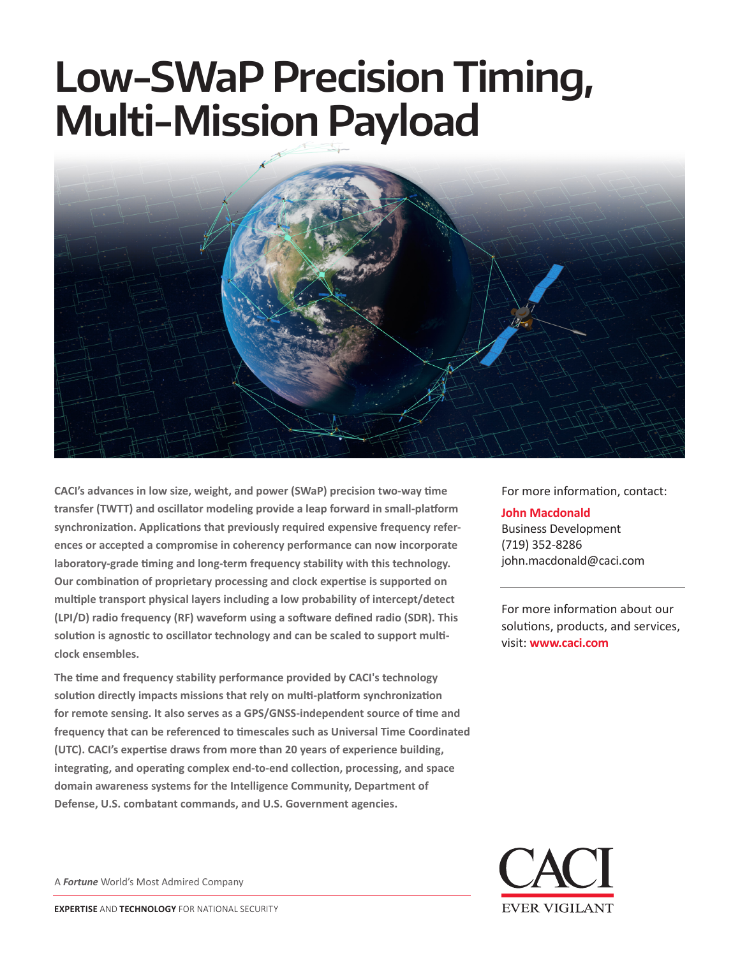# **Low-SWaP Precision Timing, Multi-Mission Payload**



**CACI's advances in low size, weight, and power (SWaP) precision two-way time transfer (TWTT) and oscillator modeling provide a leap forward in small-platform synchronization. Applications that previously required expensive frequency references or accepted a compromise in coherency performance can now incorporate laboratory-grade timing and long-term frequency stability with this technology. Our combination of proprietary processing and clock expertise is supported on multiple transport physical layers including a low probability of intercept/detect (LPI/D) radio frequency (RF) waveform using a software defined radio (SDR). This solution is agnostic to oscillator technology and can be scaled to support multiclock ensembles.**

**The time and frequency stability performance provided by CACI's technology solution directly impacts missions that rely on multi-platform synchronization for remote sensing. It also serves as a GPS/GNSS-independent source of time and frequency that can be referenced to timescales such as Universal Time Coordinated (UTC). CACI's expertise draws from more than 20 years of experience building, integrating, and operating complex end-to-end collection, processing, and space domain awareness systems for the Intelligence Community, Department of Defense, U.S. combatant commands, and U.S. Government agencies.**

A *Fortune* World's Most Admired Company



For more information, contact:

#### **John Macdonald**

Business Development (719) 352-8286 john.macdonald@caci.com

For more information about our solutions, products, and services, visit: **www.caci.com**